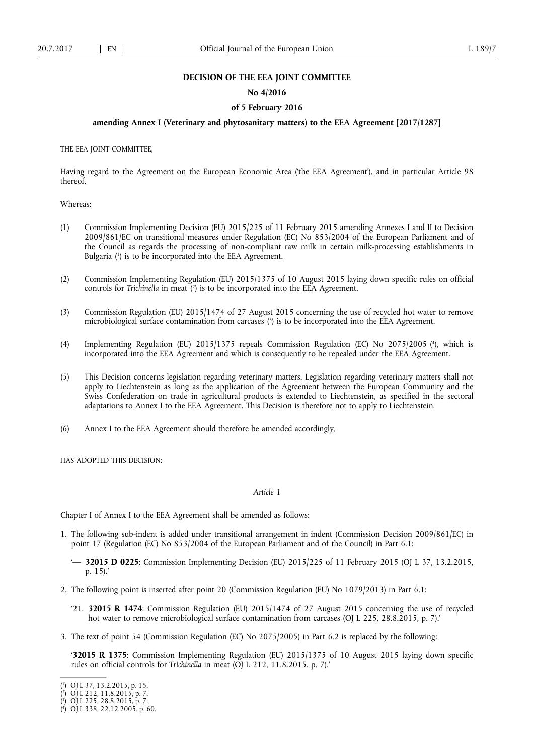### **DECISION OF THE EEA JOINT COMMITTEE**

### **No 4/2016**

### **of 5 February 2016**

## **amending Annex I (Veterinary and phytosanitary matters) to the EEA Agreement [2017/1287]**

THE EEA JOINT COMMITTEE,

Having regard to the Agreement on the European Economic Area ('the EEA Agreement'), and in particular Article 98 thereof,

Whereas:

- (1) Commission Implementing Decision (EU) 2015/225 of 11 February 2015 amending Annexes I and II to Decision 2009/861/EC on transitional measures under Regulation (EC) No 853/2004 of the European Parliament and of the Council as regards the processing of non-compliant raw milk in certain milk-processing establishments in Bulgaria ( 1 ) is to be incorporated into the EEA Agreement.
- (2) Commission Implementing Regulation (EU) 2015/1375 of 10 August 2015 laying down specific rules on official controls for *Trichinella* in meat ( 2 ) is to be incorporated into the EEA Agreement.
- (3) Commission Regulation (EU) 2015/1474 of 27 August 2015 concerning the use of recycled hot water to remove microbiological surface contamination from carcases ( 3 ) is to be incorporated into the EEA Agreement.
- (4) Implementing Regulation (EU) 2015/1375 repeals Commission Regulation (EC) No 2075/2005 ( 4 ), which is incorporated into the EEA Agreement and which is consequently to be repealed under the EEA Agreement.
- (5) This Decision concerns legislation regarding veterinary matters. Legislation regarding veterinary matters shall not apply to Liechtenstein as long as the application of the Agreement between the European Community and the Swiss Confederation on trade in agricultural products is extended to Liechtenstein, as specified in the sectoral adaptations to Annex I to the EEA Agreement. This Decision is therefore not to apply to Liechtenstein.
- (6) Annex I to the EEA Agreement should therefore be amended accordingly,

HAS ADOPTED THIS DECISION:

### *Article 1*

Chapter I of Annex I to the EEA Agreement shall be amended as follows:

- 1. The following sub-indent is added under transitional arrangement in indent (Commission Decision 2009/861/EC) in point 17 (Regulation (EC) No 853/2004 of the European Parliament and of the Council) in Part 6.1:
	- '— **32015 D 0225**: Commission Implementing Decision (EU) 2015/225 of 11 February 2015 (OJ L 37, 13.2.2015, p. 15).'
- 2. The following point is inserted after point 20 (Commission Regulation (EU) No 1079/2013) in Part 6.1:
	- '21. **32015 R 1474**: Commission Regulation (EU) 2015/1474 of 27 August 2015 concerning the use of recycled hot water to remove microbiological surface contamination from carcases (OJ L 225, 28.8.2015, p. 7).'
- 3. The text of point 54 (Commission Regulation (EC) No 2075/2005) in Part 6.2 is replaced by the following:

'**32015 R 1375**: Commission Implementing Regulation (EU) 2015/1375 of 10 August 2015 laying down specific rules on official controls for *Trichinella* in meat (OJ L 212, 11.8.2015, p. 7).'

<sup>(</sup> 1 ) OJ L 37, 13.2.2015, p. 15.

<sup>(</sup> 2 ) OJ L 212, 11.8.2015, p. 7.

<sup>(</sup> 3 ) OJ L 225, 28.8.2015, p. 7.

<sup>(</sup> 4 ) OJ L 338, 22.12.2005, p. 60.